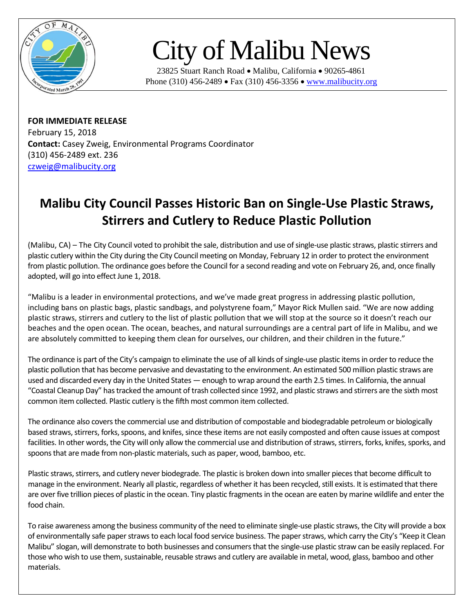

## City of Malibu News

23825 Stuart Ranch Road • Malibu, California • 90265-4861 Phone (310) 456-2489 • Fax (310) 456-3356 • [www.malibucity.org](http://www.malibucity.org/)

**FOR IMMEDIATE RELEASE** February 15, 2018 **Contact:** Casey Zweig, Environmental Programs Coordinator (310) 456-2489 ext. 236 [czweig@malibucity.org](mailto:czweig@malibucity.org)

## **Malibu City Council Passes Historic Ban on Single-Use Plastic Straws, Stirrers and Cutlery to Reduce Plastic Pollution**

(Malibu, CA) – The City Council voted to prohibit the sale, distribution and use of single-use plastic straws, plastic stirrers and plastic cutlery within the City during the City Council meeting on Monday, February 12 in order to protect the environment from plastic pollution. The ordinance goes before the Council for a second reading and vote on February 26, and, once finally adopted, will go into effect June 1, 2018.

"Malibu is a leader in environmental protections, and we've made great progress in addressing plastic pollution, including bans on plastic bags, plastic sandbags, and polystyrene foam," Mayor Rick Mullen said. "We are now adding plastic straws, stirrers and cutlery to the list of plastic pollution that we will stop at the source so it doesn't reach our beaches and the open ocean. The ocean, beaches, and natural surroundings are a central part of life in Malibu, and we are absolutely committed to keeping them clean for ourselves, our children, and their children in the future."

The ordinance is part of the City's campaign to eliminate the use of all kinds of single-use plastic items in order to reduce the plastic pollution that has become pervasive and devastating to the environment. An estimated 500 million plastic straws are used and discarded every day in the United States — enough to wrap around the earth 2.5 times. In California, the annual "Coastal Cleanup Day" has tracked the amount of trash collected since 1992, and plastic straws and stirrers are the sixth most common item collected. Plastic cutlery is the fifth most common item collected.

The ordinance also covers the commercial use and distribution of compostable and biodegradable petroleum or biologically based straws, stirrers, forks, spoons, and knifes, since these items are not easily composted and often cause issues at compost facilities. In other words, the City will only allow the commercial use and distribution of straws, stirrers, forks, knifes, sporks, and spoons that are made from non-plastic materials, such as paper, wood, bamboo, etc.

Plastic straws, stirrers, and cutlery never biodegrade. The plastic is broken down into smaller pieces that become difficult to manage in the environment. Nearly all plastic, regardless of whether it has been recycled, still exists. It is estimated that there are overfive trillion pieces of plastic in the ocean. Tiny plastic fragments in the ocean are eaten by marine wildlife and enter the food chain.

To raise awareness among the business community of the need to eliminate single-use plastic straws, the City will provide a box of environmentally safe paper straws to each local food service business. The paper straws, which carry the City's "Keep it Clean Malibu" slogan, will demonstrate to both businesses and consumers that the single-use plastic straw can be easily replaced. For those who wish to use them, sustainable, reusable straws and cutlery are available in metal, wood, glass, bamboo and other materials.